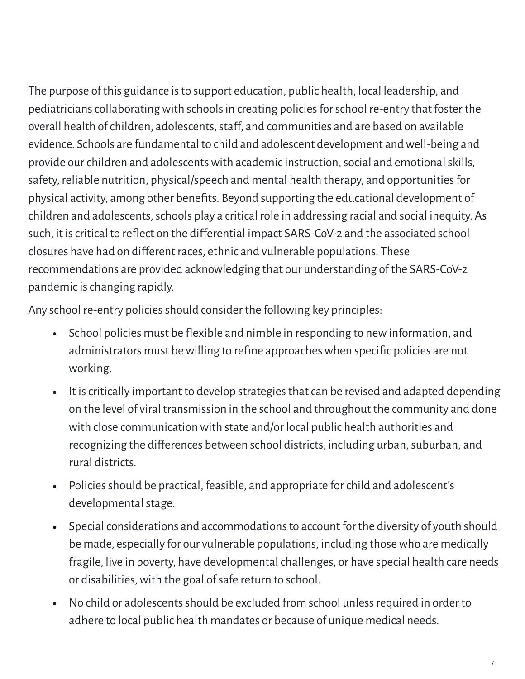The purpose of this guidance is to support education, public health, local leadership, and pediatricians collaborating with schools in creating policies for school re-entry that foster the overall health of children, adolescents, staff, and communities and are based on available evidence. Schools are fundamental to child and adolescent development and well-being and provide our children and adolescents with academic instruction, social and emotional skills, safety, reliable nutrition, physical/speech and mental health therapy, and opportunities for physical activity, among other benefits. Beyond supporting the educational development of children and adolescents, schools play a critical role in addressing racial and social inequity. As such, it is critical to reflect on the differential impact SARS-CoV-2 and the associated school closures have had on diferent races, ethnic and vulnerable populations. These recommendations are provided acknowledging that our understanding of the SARS-CoV-2 pandemic is changing rapidly.

Any school re-entry policies should consider the following key principles:

- School policies must be flexible and nimble in responding to new information, and  $\bullet$ administrators must be willing to refine approaches when specific policies are not working.
- It is critically important to develop strategies that can be revised and adapted depending  $\bullet$ on the level of viral transmission in the school and throughout the community and done with close communication with state and/or local public health authorities and recognizing the differences between school districts, including urban, suburban, and rural districts.
- Policiesshould be practical, feasible, and appropriate forchild and adolescent's  $\bullet$ developmental stage.
- Special considerations and accommodations to account for the diversity of youth should  $\bullet$ be made, especially for our vulnerable populations, including thosewho are medically fragile, live in poverty, have developmental challenges, or have special health care needs or disabilities, with the goal of safe return to school.
- No child or adolescents should be excluded from school unless required in order to  $\bullet$ adhere to local public health mandates or because of unique medical needs.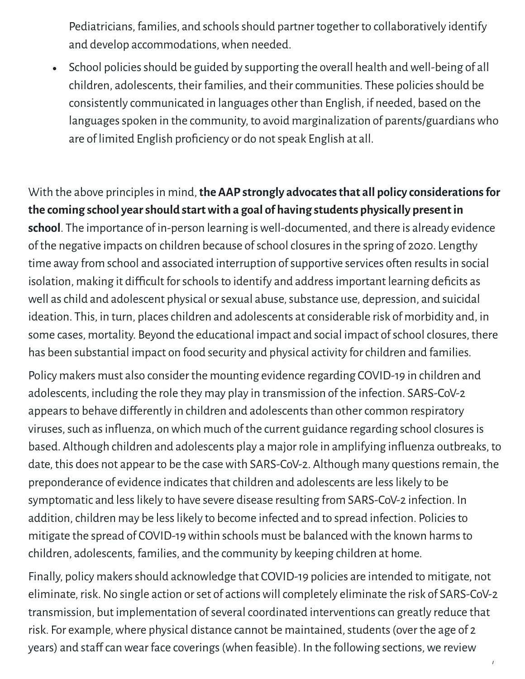Pediatricians, families, and schools should partner together to collaboratively identify and develop accommodations,when needed.

School policies should be guided by supporting the overall health and well-being of all  $\bullet$ children, adolescents, their families, and their communities. These policies should be consistently communicated in languages other than English, if needed, based on the languages spoken in the community, to avoid marginalization of parents/guardians who are of limited English proficiency or do not speak English at all.

With the above principlesin mind,**the AAP strongly advocatesthat all policy considerationsfor the coming school yearshould startwith a goal of having students physically presentin school**. The importance of in-person learning iswell-documented, and there is already evidence of the negative impacts on children because of school closures in the spring of 2020. Lengthy time away from school and associated interruption of supportive services often results in social isolation, making it difficult for schools to identify and address important learning deficits as well as child and adolescent physical or sexual abuse, substance use, depression, and suicidal ideation. This, in turn, places children and adolescents at considerable risk of morbidity and, in some cases, mortality. Beyond the educational impact and social impact of school closures, there has been substantial impact on food security and physical activity forchildren and families.

Policy makers must also consider the mounting evidence regarding COVID-19 in children and adolescents, including the role they may play in transmission of the infection. SARS-CoV-2 appears to behave differently in children and adolescents than other common respiratory viruses, such as influenza, on which much of the current guidance regarding school closures is based. Although children and adolescents play a major role in amplifying inluenza outbreaks, to date, this does not appear to be the case with SARS-CoV-2. Although many questions remain, the preponderance of evidence indicates that children and adolescents are less likely to be symptomatic and less likely to have severe disease resulting from SARS-CoV-2 infection. In addition, children may be less likely to become infected and to spread infection. Policies to mitigate the spread of COVID-19within schools must be balancedwith the known harmsto children, adolescents, families, and the community by keeping children at home.

Finally, policy makers should acknowledge that COVID-19 policies are intended to mitigate, not eliminate, risk. No single action or set of actions will completely eliminate the risk of SARS-CoV-2 transmission, but implementation of several coordinated interventions can greatly reduce that risk. For example, where physical distance cannot be maintained, students (over the age of 2 years) and staff can wear face coverings (when feasible). In the following sections, we review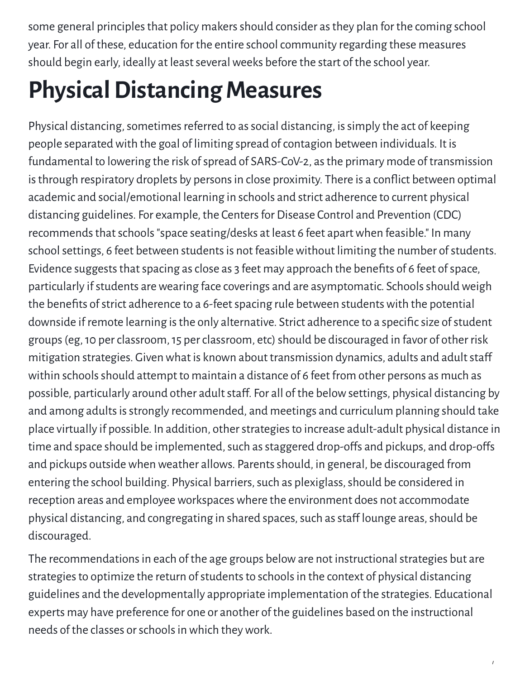some general principles that policy makers should consider as they plan for the coming school year. For all of these, education for the entire school community regarding these measures should begin early, ideally at least several weeks before the start of the school year.

## **Physical Distancing Measures**

Physical distancing, sometimes referred to as social distancing, is simply the act of keeping people separated with the goal of limiting spread of contagion between individuals. It is fundamental to lowering the risk of spread of SARS-CoV-2, as the primary mode of transmission is through respiratory droplets by persons in close proximity. There is a conflict between optimal academic and social/emotional learning in schools and strict adherence to current physical distancing guidelines. For example, the Centers for Disease Control and Prevention (CDC) recommends that schools "space seating/desks at least 6 feet apart when feasible." In many school settings, 6 feet between students is not feasible without limiting the number of students. Evidence suggests that spacing as close as 3 feet may approach the benefits of 6 feet of space, particularly if students are wearing face coverings and are asymptomatic. Schools should weigh the benefits of strict adherence to a 6-feet spacing rule between students with the potential downside if remote learning is the only alternative. Strict adherence to a specific size of student groups(eg,10 perclassroom,15 perclassroom, etc)should be discouraged in favor of other risk mitigation strategies. Given what is known about transmission dynamics, adults and adult staff within schools should attempt to maintain a distance of 6 feet from other persons as much as possible, particularly around other adult staff. For all of the below settings, physical distancing by and among adults is strongly recommended, and meetings and curriculum planning should take place virtually if possible. In addition, otherstrategiesto increase adult-adult physical distance in time and space should be implemented, such as staggered drop-offs and pickups, and drop-offs and pickups outside when weather allows. Parents should, in general, be discouraged from entering the school building. Physical barriers, such as plexiglass, should be considered in reception areas and employee workspaces where the environment does not accommodate physical distancing, and congregating in shared spaces, such as staff lounge areas, should be discouraged.

The recommendations in each of the age groups below are not instructional strategies but are strategies to optimize the return of students to schools in the context of physical distancing guidelines and the developmentally appropriate implementation of the strategies. Educational experts may have preference for one or another of the guidelines based on the instructional needs of the classes or schools in which they work.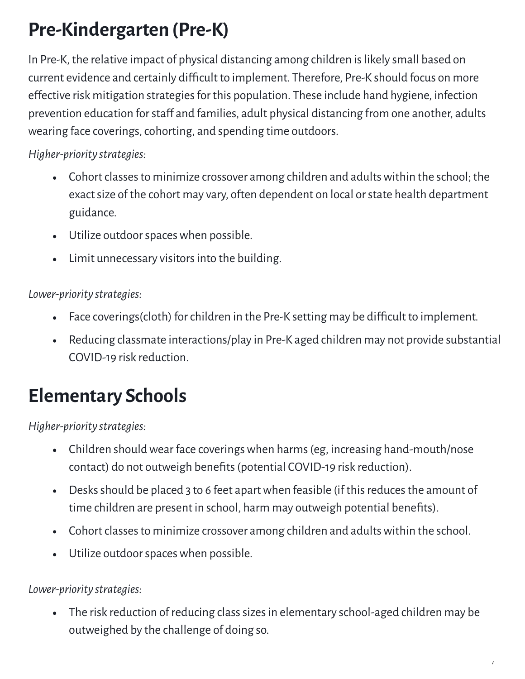### **Pre-Kindergarten (Pre-K)**

In Pre-K, the relative impact of physical distancing among children is likely small based on current evidence and certainly difficult to implement. Therefore, Pre-K should focus on more effective risk mitigation strategies for this population. These include hand hygiene, infection prevention education for staff and families, adult physical distancing from one another, adults wearing face coverings, cohorting, and spending time outdoors.

*Higher-priority strategies:*

- Cohort classes to minimize crossover among children and adults within the school; the exact size of the cohort may vary, often dependent on local or state health department guidance.
- Utilize outdoorspaceswhen possible.
- Limit unnecessary visitors into the building.

*Lower-priority strategies:*

- Face coverings(cloth) for children in the Pre-K setting may be difficult to implement.  $\bullet$
- Reducing classmate interactions/play in Pre-K aged children may not provide substantial  $\bullet$ COVID-19 risk reduction.

### **Elementary Schools**

*Higher-priority strategies:*

- Children should wear face coverings when harms (eg, increasing hand-mouth/nose contact) do not outweigh benefits (potential COVID-19 risk reduction).
- Desks should be placed 3 to 6 feet apart when feasible (if this reduces the amount of  $\bullet$ time children are present in school, harm may outweigh potential benefits).
- Cohort classes to minimize crossover among children and adults within the school.
- Utilize outdoorspaceswhen possible.

*Lower-priority strategies:*

• The risk reduction of reducing class sizes in elementary school-aged children may be outweighed by the challenge of doing so.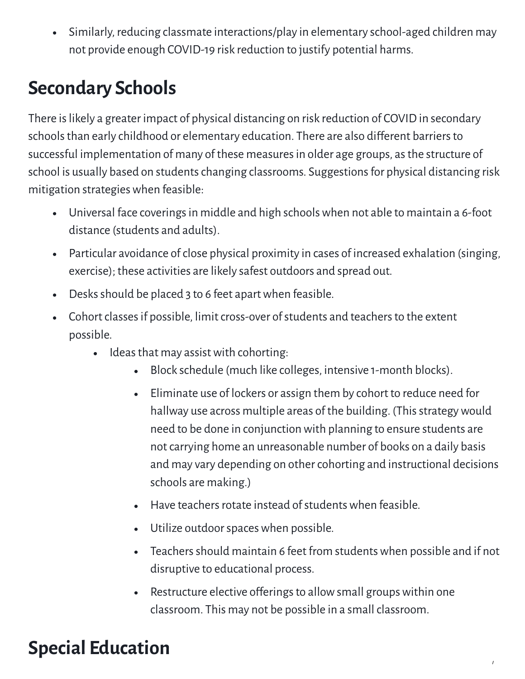Similarly, reducing classmate interactions/play in elementary school-aged children may  $\bullet$ not provide enough COVID-19 risk reduction to justify potential harms.

#### **Secondary Schools**

There is likely a greater impact of physical distancing on risk reduction of COVID in secondary schools than early childhood or elementary education. There are also different barriers to successful implementation of many of these measures in older age groups, as the structure of school is usually based on students changing classrooms. Suggestions for physical distancing risk mitigation strategieswhen feasible:

- Universal face coverings in middle and high schools when not able to maintain a 6-foot  $\bullet$ distance (students and adults).
- Particular avoidance of close physical proximity in cases of increased exhalation (singing, exercise); these activities are likely safest outdoors and spread out.
- Desks should be placed 3 to 6 feet apart when feasible.  $\bullet$
- Cohort classes if possible, limit cross-over of students and teachers to the extent possible.
	- Ideas that may assist with cohorting:
		- Block schedule (much like colleges, intensive 1-month blocks).
		- Eliminate use of lockers or assign them by cohort to reduce need for hallway use across multiple areas of the building. (This strategy would need to be done in conjunction with planning to ensure students are not carrying home an unreasonable number of books on a daily basis and may vary depending on other cohorting and instructional decisions schools are making.)
		- $\bullet$  Have teachers rotate instead of students when feasible.
		- Utilize outdoorspaceswhen possible.
		- Teachers should maintain 6 feet from students when possible and if not disruptive to educational process.

/

Restructure elective offerings to allow small groups within one  $\bullet$ classroom. This may not be possible in a small classroom.

### **Special Education**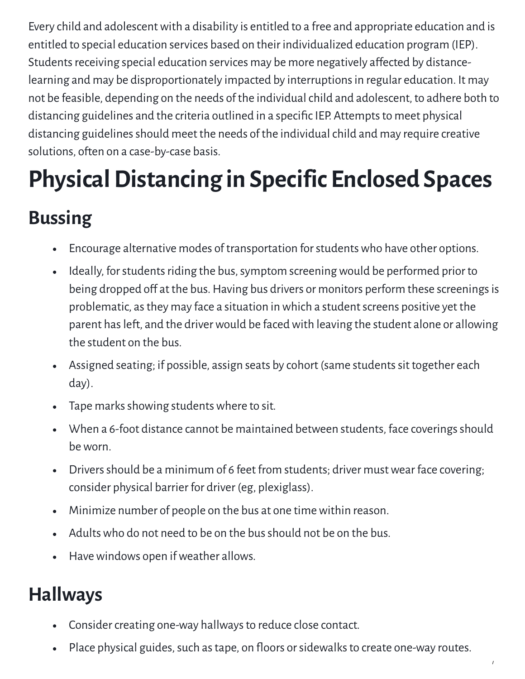Every child and adolescentwith a disability is entitled to a free and appropriate education and is entitled to special education services based on their individualized education program (IEP). Students receiving special education services may be more negatively affected by distancelearning and may be disproportionately impacted by interruptions in regular education. It may not be feasible, depending on the needs of the individual child and adolescent, to adhere both to distancing guidelines and the criteria outlined in a specific IEP. Attempts to meet physical distancing guidelines should meet the needs of the individual child and may require creative solutions, often on a case-by-case basis.

## **PhysicalDistancing in Specific Enclosed Spaces**

### **Bussing**

- Encourage alternative modes of transportation forstudentswho have other options.  $\bullet$
- Ideally, for students riding the bus, symptom screening would be performed prior to  $\bullet$ being dropped off at the bus. Having bus drivers or monitors perform these screenings is problematic, as they may face a situation in which a student screens positive yet the parent has left, and the driver would be faced with leaving the student alone or allowing the student on the bus.
- Assigned seating; if possible, assign seats by cohort (same students sit together each day).
- Tape marks showing students where to sit.  $\bullet$
- When a 6-foot distance cannot be maintained between students, face coverings should beworn.
- Drivers should be a minimum of 6 feet from students; driver must wear face covering;  $\bullet$ consider physical barrier for driver (eg, plexiglass).
- Minimize number of people on the bus at one time within reason.  $\bullet$
- Adults who do not need to be on the bus should not be on the bus.
- Have windows open if weather allows.  $\bullet$

### **Hallways**

- Consider creating one-way hallways to reduce close contact.  $\bullet$
- Place physical guides, such as tape, on floors or sidewalks to create one-way routes.  $\bullet$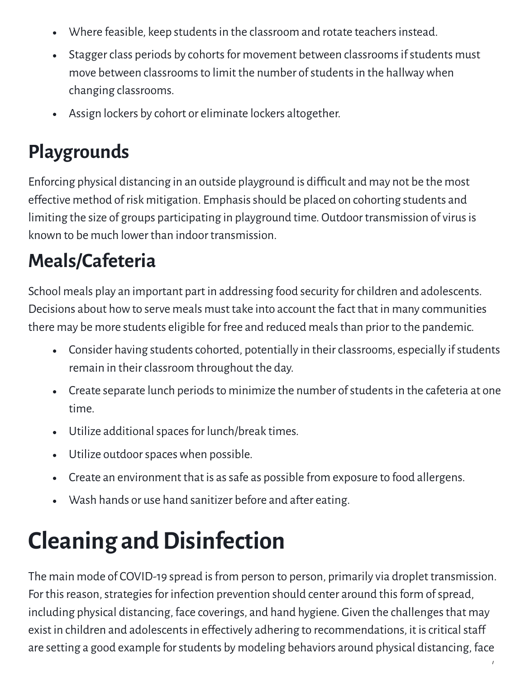- Where feasible, keep students in the classroom and rotate teachers instead.  $\bullet$
- Stagger class periods by cohorts for movement between classrooms if students must  $\bullet$ move between classrooms to limit the number of students in the hallway when changing classrooms.
- Assign lockers by cohort or eliminate lockers altogether.  $\bullet$

### **Playgrounds**

Enforcing physical distancing in an outside playground is difficult and may not be the most effective method of risk mitigation. Emphasis should be placed on cohorting students and limiting the size of groups participating in playground time. Outdoor transmission of virus is known to be much lower than indoor transmission.

### **Meals/Cafeteria**

School meals play an important part in addressing food security forchildren and adolescents. Decisions about howto serve meals must take into account the fact that in many communities there may be more students eligible for free and reduced mealsthan prior to the pandemic.

- Consider having students cohorted, potentially in their classrooms, especially if students remain in their classroom throughout the day.
- Create separate lunch periods to minimize the number of students in the cafeteria at one time.
- Utilize additional spaces for lunch/break times.  $\bullet$
- Utilize outdoorspaceswhen possible.  $\bullet$
- Create an environment that is as safe as possible from exposure to food allergens.  $\bullet$
- Wash hands or use hand sanitizer before and after eating.

# **Cleaning and Disinfection**

The main mode of COVID-19 spread is from person to person, primarily via droplet transmission. For this reason, strategies for infection prevention should center around this form of spread, including physical distancing, face coverings, and hand hygiene. Given the challenges that may exist in children and adolescents in effectively adhering to recommendations, it is critical staff are setting a good example for students by modeling behaviors around physical distancing, face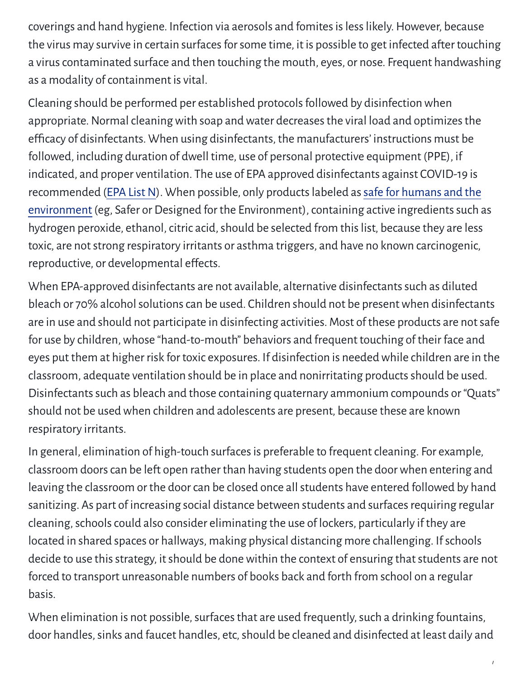coverings and hand hygiene. Infection via aerosols and fomites is less likely. However, because the virus may survive in certain surfaces for some time, it is possible to get infected after touching a virus contaminated surface and then touching the mouth, eyes, or nose. Frequent handwashing as a modality of containment is vital.

Cleaning should be performed per established protocolsfollowed by disinfectionwhen appropriate. Normal cleaning with soap and water decreases the viral load and optimizes the efficacy of disinfectants. When using disinfectants, the manufacturers' instructions must be followed, including duration of dwell time, use of personal protective equipment (PPE), if indicated, and proper ventilation. The use of EPA approved disinfectants against COVID-19 is recommended (EPA List N). When possible, only products labeled as safe for humans and the environment (eg, Safer or Designed for the Environment), containing active ingredients such as hydrogen peroxide, ethanol, citric acid, should be selected from this list, because they are less toxic, are not strong respiratory irritants or asthma triggers, and have no known carcinogenic, reproductive, or developmental efects.

When EPA-approved disinfectants are not available, alternative disinfectants such as diluted bleach or 70% alcohol solutions can be used. Children should not be present when disinfectants are in use and should not participate in disinfecting activities. Most of these products are notsafe for use by children,whose "hand-to-mouth" behaviors and frequent touching of their face and eyes put them at higher risk for toxic exposures. If disinfection is neededwhile children are in the classroom, adequate ventilation should be in place and nonirritating products should be used. Disinfectants such as bleach and those containing quaternary ammonium compounds or "Quats" should not be used when children and adolescents are present, because these are known respiratory irritants.

In general, elimination of high-touch surfaces is preferable to frequent cleaning. For example, classroom doors can be left open rather than having students open the door when entering and leaving the classroom or the door can be closed once all students have entered followed by hand sanitizing. As part of increasing social distance between students and surfaces requiring regular cleaning, schools could also consider eliminating the use of lockers, particularly if they are located in shared spaces or hallways, making physical distancing more challenging. Ifschools decide to use this strategy, it should be done within the context of ensuring that students are not forced to transport unreasonable numbers of books back and forth from school on a regular basis.

When elimination is not possible, surfaces that are used frequently, such a drinking fountains, door handles, sinks and faucet handles, etc, should be cleaned and disinfected at least daily and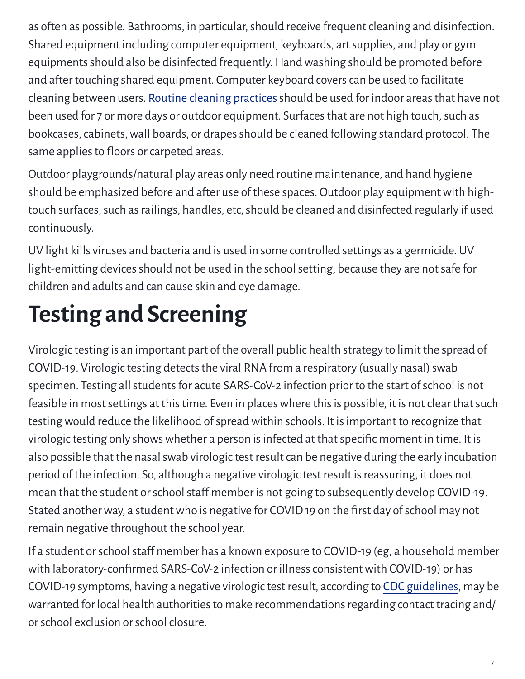as often as possible. Bathrooms, in particular, should receive frequent cleaning and disinfection. Shared equipment including computer equipment, keyboards, artsupplies, and play or gym equipments should also be disinfected frequently. Hand washing should be promoted before and after touching shared equipment. Computer keyboard covers can be used to facilitate cleaning between users. Routine cleaning [practices](https://www.cdc.gov/coronavirus/2019-ncov/community/reopen-guidance.html) should be used for indoor areas that have not been used for 7 or more days or outdoor equipment. Surfaces that are not high touch, such as bookcases, cabinets, wall boards, or drapes should be cleaned following standard protocol. The same applies to floors or carpeted areas.

Outdoor playgrounds/natural play areas only need routine maintenance, and hand hygiene should be emphasized before and after use of these spaces. Outdoor play equipment with hightouch surfaces, such as railings, handles, etc, should be cleaned and disinfected regularly if used continuously.

UV light kills viruses and bacteria and is used in some controlled settings as a germicide. UV light-emitting devices should not be used in the school setting, because they are not safe for children and adults and can cause skin and eye damage.

# **Testing and Screening**

Virologic testing is an important part of the overall public health strategy to limit the spread of COVID-19. Virologic testing detects the viral RNA from a respiratory (usually nasal) swab specimen. Testing all students for acute SARS-CoV-2 infection prior to the start of school is not feasible in most settings at this time. Even in places where this is possible, it is not clear that such testing would reduce the likelihood of spread within schools. It is important to recognize that virologic testing only shows whether a person is infected at that specific moment in time. It is also possible that the nasal swab virologic test result can be negative during the early incubation period of the infection. So, although a negative virologic test result is reassuring, it does not mean that the student or school staff member is not going to subsequently develop COVID-19. Stated another way, a student who is negative for COVID 19 on the first day of school may not remain negative throughout the school year.

If a student or school staff member has a known exposure to COVID-19 (eg, a household member with laboratory-confirmed SARS-CoV-2 infection or illness consistent with COVID-19) or has COVID-19 symptoms, having a negative virologic test result, according to CDC [guidelines,](https://www.cdc.gov/coronavirus/2019-ncov/hcp/clinical-criteria.html) may be warranted for local health authorities to make recommendations regarding contact tracing and/ or school exclusion or school closure.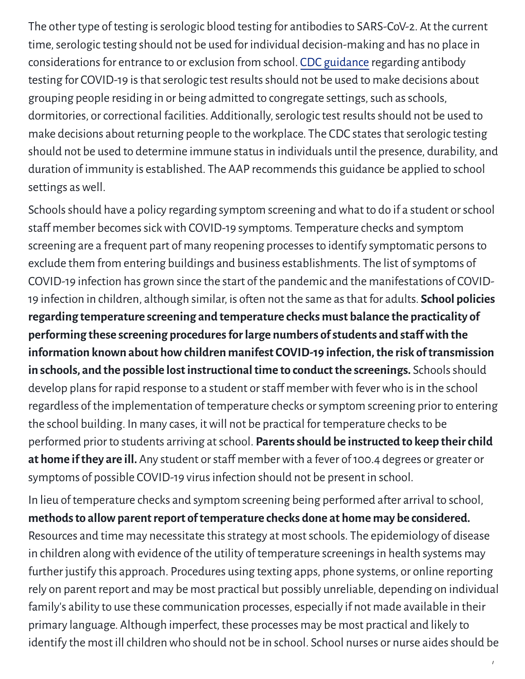The other type of testing is serologic blood testing for antibodies to SARS-CoV-2. At the current time, serologic testing should not be used for individual decision-making and has no place in considerations for entrance to or exclusion from school. CDC [guidance](https://www.cdc.gov/coronavirus/2019-ncov/lab/resources/antibody-tests-guidelines.html#anchor_1590264273029) regarding antibody testing for COVID-19 is that serologic test results should not be used to make decisions about grouping people residing in or being admitted to congregate settings, such as schools, dormitories, or correctional facilities. Additionally, serologic test results should not be used to make decisions about returning people to the workplace. The CDC states that serologic testing should not be used to determine immune status in individuals until the presence, durability, and duration of immunity is established. The AAP recommends this guidance be applied to school settings as well.

Schools should have a policy regarding symptom screening and what to do if a student or school staff member becomes sick with COVID-19 symptoms. Temperature checks and symptom screening are a frequent part of many reopening processes to identify symptomatic persons to exclude them from entering buildings and business establishments. The list of symptoms of COVID-19 infection has grown since the start of the pandemic and the manifestations of COVID-19 infection in children, although similar, is oten not the same asthat for adults. **School policies regarding temperature screening and temperature checks must balance the practicality of performing these screening proceduresforlarge numbers ofstudents and stafwith the information known about howchildren manifest COVID-19 infection,the risk oftransmission in schools, and the possible lost instructional time to conduct the screenings. Schools should** develop plans for rapid response to a student or staff member with fever who is in the school regardless of the implementation of temperature checks orsymptom screening prior to entering the school building. In many cases, it will not be practical for temperature checks to be performed prior to students arriving atschool. **Parentsshould be instructed to keep theirchild** at home if they are ill. Any student or staff member with a fever of 100.4 degrees or greater or symptoms of possible COVID-19 virus infection should not be present in school.

In lieu of temperature checks and symptom screening being performed ater arrival to school, **methodsto allowparentreport oftemperature checks done at home may be considered.** Resources and time may necessitate this strategy at most schools. The epidemiology of disease in children along with evidence of the utility of temperature screenings in health systems may further justify this approach. Procedures using texting apps, phone systems, or online reporting rely on parent report and may be most practical but possibly unreliable, depending on individual family's ability to use these communication processes, especially if not made available in their primary language. Although imperfect, these processes may be most practical and likely to identify the most ill children who should not be in school. School nurses or nurse aides should be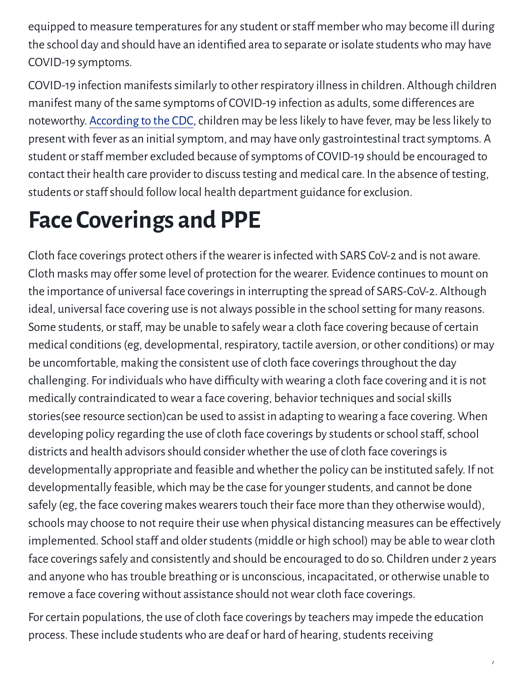equipped to measure temperatures for any student or staff member who may become ill during the school day and should have an identified area to separate or isolate students who may have COVID-19 symptoms.

COVID-19 infection manifests similarly to other respiratory illness in children. Although children manifest many of the same symptoms of COVID-19 infection as adults, some differences are noteworthy. [According](https://www.cdc.gov/coronavirus/2019-ncov/hcp/pediatric-hcp.html) to the CDC, children may be less likely to have fever, may be less likely to present with fever as an initial symptom, and may have only gastrointestinal tract symptoms. A student or staff member excluded because of symptoms of COVID-19 should be encouraged to contact their health care provider to discuss testing and medical care. In the absence of testing, students or staff should follow local health department guidance for exclusion.

### **Face Coverings and PPE**

Cloth face coverings protect others if the wearer is infected with SARS CoV-2 and is not aware. Cloth masks may offer some level of protection for the wearer. Evidence continues to mount on the importance of universal face coverings in interrupting the spread of SARS-CoV-2. Although ideal, universal face covering use is not always possible in the school setting for many reasons. Some students, or staff, may be unable to safely wear a cloth face covering because of certain medical conditions (eg, developmental, respiratory, tactile aversion, or other conditions) or may be uncomfortable, making the consistent use of cloth face coverings throughout the day challenging. For individuals who have difficulty with wearing a cloth face covering and it is not medically contraindicated to wear a face covering, behavior techniques and social skills stories(see resource section)can be used to assist in adapting towearing a face covering. When developing policy regarding the use of cloth face coverings by students or school staff, school districts and health advisors should consider whether the use of cloth face coverings is developmentally appropriate and feasible andwhether the policy can be instituted safely. If not developmentally feasible, which may be the case for younger students, and cannot be done safely (eg, the face covering makes wearers touch their face more than they otherwise would), schools may choose to not require their use when physical distancing measures can be effectively implemented. School staff and older students (middle or high school) may be able to wear cloth face coverings safely and consistently and should be encouraged to do so. Children under 2 years and anyone who has trouble breathing or is unconscious, incapacitated, or otherwise unable to remove a face covering without assistance should not wear cloth face coverings.

For certain populations, the use of cloth face coverings by teachers may impede the education process. These include students who are deaf or hard of hearing, students receiving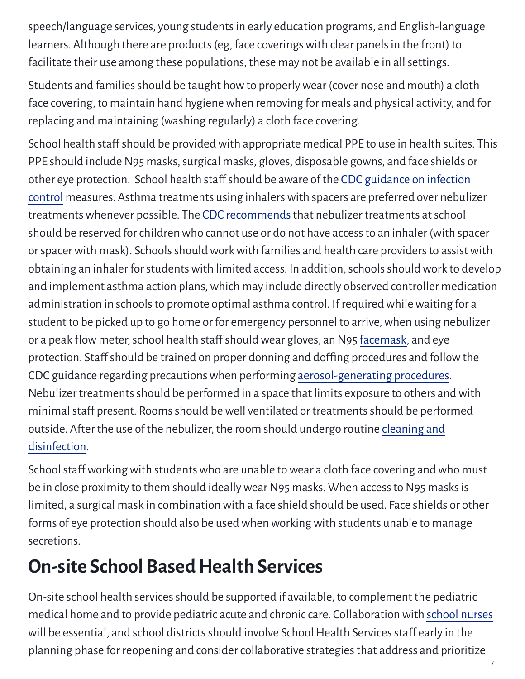speech/language services, young students in early education programs, and English-language learners. Although there are products (eg, face coverings with clear panels in the front) to facilitate their use among these populations, these may not be available in all settings.

Students and families should be taught how to properly wear (cover nose and mouth) a cloth face covering, to maintain hand hygiene when removing for meals and physical activity, and for replacing and maintaining (washing regularly) a cloth face covering.

School health staff should be provided with appropriate medical PPE to use in health suites. This PPE should include N95 masks, surgical masks, gloves, disposable gowns, and face shields or other eye protection. School health staff should be aware of the CDC guidance on infection control measures. Asthma treatments using [inhalerswith](https://www.cdc.gov/coronavirus/2019-ncov/hcp/infection-control-faq.html#asymptomatic) spacers are preferred over nebulizer treatments whenever possible. The CDC [recommends](https://www.cdc.gov/coronavirus/2019-ncov/community/schools-childcare/schools-faq.html) that nebulizer treatments at school should be reserved for children who cannot use or do not have access to an inhaler (with spacer or spacer with mask). Schools should work with families and health care providers to assist with obtaining an inhaler for students with limited access. In addition, schools should work to develop and implement asthma action plans, which may include directly observed controller medication administration in schools to promote optimal asthma control. If required while waiting for a student to be picked up to go home or for emergency personnel to arrive, when using nebulizer or a peak flow meter, school health staff should wear gloves, an N95 [facemask](https://www.cdc.gov/coronavirus/2019-ncov/hcp/using-ppe.html), and eye protection. Staff should be trained on proper donning and doffing procedures and follow the CDC guidance regarding precautionswhen performing [aerosol-generating](https://www.cdc.gov/coronavirus/2019-ncov/hcp/infection-control-recommendations.html#take_precautions) procedures. Nebulizer treatments should be performed in a space that limits exposure to others and with minimal staff present. Rooms should be well ventilated or treatments should be performed outside. Ater the use of the nebulizer, the [room should](https://www.cdc.gov/coronavirus/2019-ncov/community/cleaning-disinfecting-decision-tool.html) undergo routine cleaning and disinfection.

School staff working with students who are unable to wear a cloth face covering and who must be in close proximity to them should ideally wear N95 masks. When access to N95 masks is limited, a surgical mask in combination with a face shield should be used. Face shields or other forms of eye protection should also be used when working with students unable to manage secretions.

### **On-site School Based Health Services**

On-site school health services should be supported if available, to complement the pediatric medical home and to provide pediatric acute and chronic care. Collaboration with school [nurses](https://www.nasn.org/nasn/nasn-resources/practice-topics/covid19) will be essential, and school districts should involve School Health Services staff early in the planning phase for reopening and considercollaborative strategiesthat address and prioritize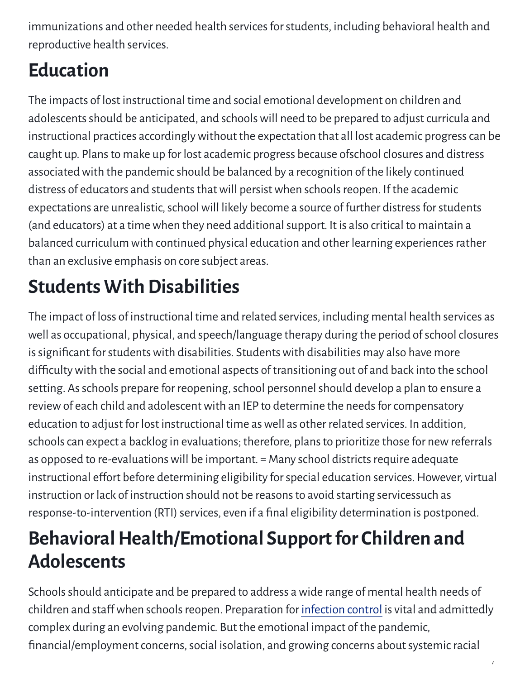immunizations and other needed health services for students, including behavioral health and reproductive health services.

### **Education**

The impacts of lost instructional time and social emotional development on children and adolescents should be anticipated, and schools will need to be prepared to adjust curricula and instructional practices accordingly without the expectation that all lost academic progress can be caught up. Plans to make up for lost academic progress because ofschool closures and distress associated with the pandemic should be balanced by a recognition of the likely continued distress of educators and students that will persist when schools reopen. If the academic expectations are unrealistic, school will likely become a source of further distress for students (and educators) at a time when they need additional support. It is also critical to maintain a balanced curriculum with continued physical education and other learning experiencesrather than an exclusive emphasis on core subject areas.

### **Students With Disabilities**

The impact of loss of instructional time and related services, including mental health services as well as occupational, physical, and speech/language therapy during the period of school closures is significant for students with disabilities. Students with disabilities may also have more difficulty with the social and emotional aspects of transitioning out of and back into the school setting. As schools prepare for reopening, school personnel should develop a plan to ensure a review of each child and adolescent with an IEP to determine the needs for compensatory education to adjust for lost instructional time aswell as other related services. In addition, schools can expect a backlog in evaluations; therefore, plans to prioritize those for new referrals as opposed to re-evaluations will be important. = Many school districts require adequate instructional effort before determining eligibility for special education services. However, virtual instruction or lack of instruction should not be reasons to avoid starting servicessuch as response-to-intervention (RTI) services, even if a final eligibility determination is postponed.

### **Behavioral Health/Emotional Support for Children and Adolescents**

Schools should anticipate and be prepared to address a wide range of mental health needs of children and staff when schools reopen. Preparation for [infection](https://www.cdc.gov/coronavirus/2019-ncov/hcp/infection-control-faq.html#asymptomatic) control is vital and admittedly complex during an evolving pandemic. But the emotional impact of the pandemic, financial/employment concerns, social isolation, and growing concerns about systemic racial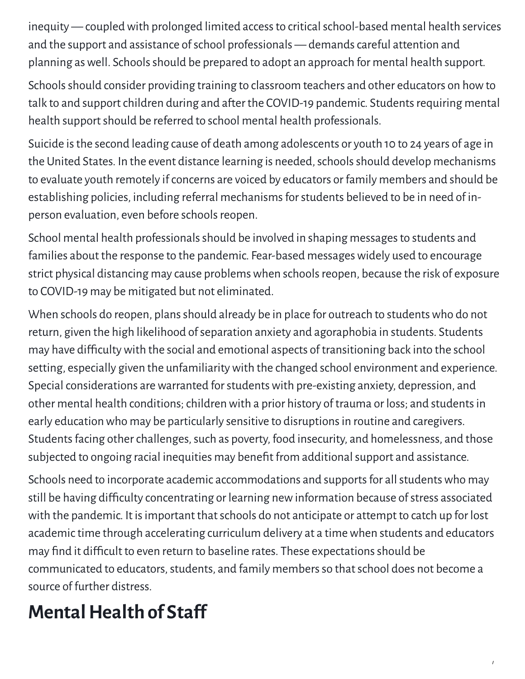inequity — coupled with prolonged limited access to critical school-based mental health services and the support and assistance of school professionals - demands careful attention and planning as well. Schools should be prepared to adopt an approach for mental health support.

Schools should consider providing training to classroom teachers and other educators on how to talk to and support children during and after the COVID-19 pandemic. Students requiring mental health support should be referred to school mental health professionals.

Suicide isthe second leading cause of death among adolescents or youth 10 to 24 years of age in the United States. In the event distance learning is needed, schools should develop mechanisms to evaluate youth remotely if concerns are voiced by educators or family members and should be establishing policies, including referral mechanisms for students believed to be in need of inperson evaluation, even before schools reopen.

School mental health professionals should be involved in shaping messages to students and families about the response to the pandemic. Fear-based messages widely used to encourage strict physical distancing may cause problems when schools reopen, because the risk of exposure to COVID-19 may be mitigated but not eliminated.

When schools do reopen, plans should already be in place for outreach to students who do not return, given the high likelihood of separation anxiety and agoraphobia in students. Students may have difficulty with the social and emotional aspects of transitioning back into the school setting, especially given the unfamiliarity with the changed school environment and experience. Special considerations are warranted for students with pre-existing anxiety, depression, and other mental health conditions; children with a prior history of trauma or loss; and students in early education who may be particularly sensitive to disruptions in routine and caregivers. Students facing other challenges, such as poverty, food insecurity, and homelessness, and those subjected to ongoing racial inequities may benefit from additional support and assistance.

Schools need to incorporate academic accommodations and supports for all students who may still be having difficulty concentrating or learning new information because of stress associated with the pandemic. It is important that schools do not anticipate or attempt to catch up for lost academic time through accelerating curriculum delivery at a time when students and educators may find it difficult to even return to baseline rates. These expectations should be communicated to educators, students, and family members so that school does not become a source of further distress.

/

### **Mental Health of Staff**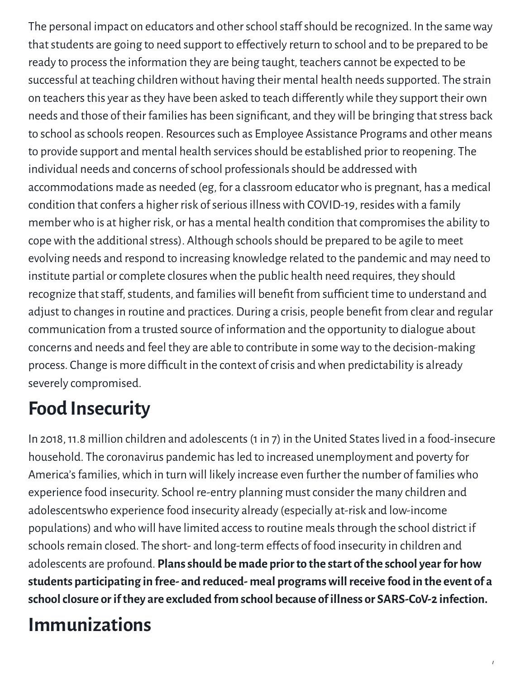The personal impact on educators and other school staff should be recognized. In the same way that students are going to need support to effectively return to school and to be prepared to be ready to process the information they are being taught, teachers cannot be expected to be successful at teaching children without having their mental health needs supported. The strain on teachers this year as they have been asked to teach differently while they support their own needs and those of their families has been significant, and they will be bringing that stress back to school as schools reopen. Resources such as Employee Assistance Programs and other means to provide support and mental health services should be established prior to reopening. The individual needs and concerns of school professionals should be addressed with accommodations made as needed (eg, for a classroom educatorwho is pregnant, has a medical condition that confers a higher risk of serious illness with COVID-19, resides with a family member who is at higher risk, or has a mental health condition that compromises the ability to cope with the additional stress). Although schools should be prepared to be agile to meet evolving needs and respond to increasing knowledge related to the pandemic and may need to institute partial or complete closures when the public health need requires, they should recognize that staff, students, and families will benefit from sufficient time to understand and adjust to changes in routine and practices. During a crisis, people benefit from clear and regular communication from a trusted source of information and the opportunity to dialogue about concerns and needs and feel they are able to contribute in someway to the decision-making process. Change is more difficult in the context of crisis and when predictability is already severely compromised.

### **Food Insecurity**

In 2018,11.8 million children and adolescents(1in 7) in the United Stateslived in a food-insecure household. The coronavirus pandemic has led to increased unemployment and poverty for America's families, which in turn will likely increase even further the number of families who experience food insecurity. School re-entry planning mustconsider the many children and adolescentswho experience food insecurity already (especially at-risk and low-income populations) andwhowill have limited accessto routine mealsthrough the school district if schools remain closed. The short- and long-term effects of food insecurity in children and adolescents are profound. **Plansshould be made priorto the start ofthe school yearfor how students participating in free- and reduced- meal programswillreceive food in the event of a schoolclosure orifthey are excluded from school because ofillness or SARS-CoV-2 infection.**

/

### **Immunizations**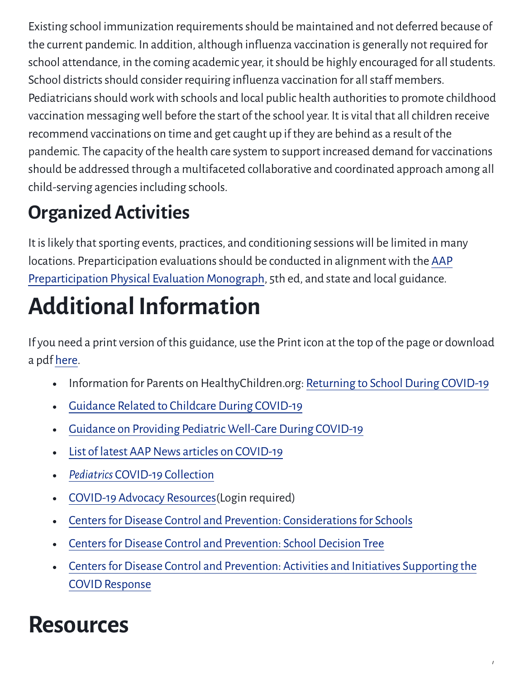Existing school immunization requirements should be maintained and not deferred because of the current pandemic. In addition, although influenza vaccination is generally not required for school attendance, in the coming academic year, it should be highly encouraged for all students. School districts should consider requiring influenza vaccination for all staff members. Pediatricians should work with schools and local public health authorities to promote childhood vaccination messaging well before the start of the school year. It is vital that all children receive recommend vaccinations on time and get caught up if they are behind as a result of the pandemic. The capacity of the health care system to support increased demand for vaccinations should be addressed through a multifaceted collaborative and coordinated approach among all child-serving agencies including schools.

### **OrganizedActivities**

It is likely that sporting events, practices, and conditioning sessions will be limited in many locations. Preparticipation evaluations should be conducted in alignment with the AAP Preparticipation Physical Evaluation Monograph, 5th ed, and state and local guidance.

# **Additional Information**

If you need a print version of this guidance, use the Print icon at the top of the page or download a pdf [here.](https://downloads.aap.org/AAP/PDF/COVID-19%20School%20Re-entry%20Interim%20Guidance%20FINAL%20062520.pdf)

- Information for Parents on HealthyChildren.org: [Returning](https://www.healthychildren.org/English/health-issues/conditions/COVID-19/Pages/Return-to-School-During-COVID-19.aspx) to School During COVID-19  $\bullet$
- Guidance Related to Childcare During [COVID-19](https://services.aap.org/link/9f62bdbb70fb4842be79e8547e09d160.aspx)
- Guidance on Providing Pediatric [Well-Care](https://services.aap.org/link/db4c405dbff949248f11fcb912baf3e8.aspx) During COVID-19  $\bullet$
- List of latest AAP News articles on COVID-19  $\bullet$
- *Pediatrics* COVID-19 [Collection](https://www.aappublications.org/cc/covid-19)  $\bullet$
- COVID-19 Advocacy [Resources](https://services.aap.org/link/e2a5cbd3f49045f69348c159c926f205.aspx)(Login required)  $\bullet$
- Centers for Disease Control and Prevention: Considerations for Schools  $\bullet$
- Centers for Disease Control and [Prevention:](https://www.cdc.gov/coronavirus/2019-ncov/community/schools-childcare/Schools-Decision-Tree.pdf) School Decision Tree  $\bullet$
- Centers for Disease Control and [Prevention:](https://www.cdc.gov/coronavirus/2019-ncov/downloads/php/CDC-Activities-Initiatives-for-COVID-19-Response.pdf) Activities and Initiatives Supporting the  $\bullet$ COVID Response

/

### **Resources**